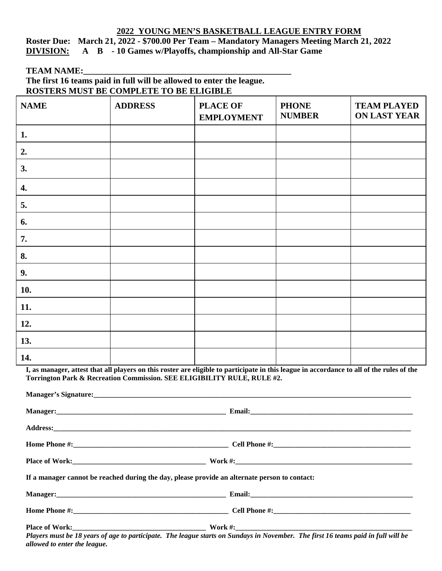## **2022 YOUNG MEN'S BASKETBALL LEAGUE ENTRY FORM**

**Roster Due: March 21, 2022 - \$700.00 Per Team – Mandatory Managers Meeting March 21, 2022 DIVISION: A B - 10 Games w/Playoffs, championship and All-Star Game**

**TEAM NAME:\_\_\_\_\_\_\_\_\_\_\_\_\_\_\_\_\_\_\_\_\_\_\_\_\_\_\_\_\_\_\_\_\_\_\_\_\_\_\_\_\_\_\_\_\_\_\_\_**

| The first 16 teams paid in full will be allowed to enter the league. |  |
|----------------------------------------------------------------------|--|
| ROSTERS MUST BE COMPLETE TO BE ELIGIBLE                              |  |

| <b>NAME</b>                                                                                                                                                                                                          | <b>ADDRESS</b> | <b>PLACE OF</b><br><b>EMPLOYMENT</b> | <b>PHONE</b><br><b>NUMBER</b> | <b>TEAM PLAYED</b><br><b>ON LAST YEAR</b> |  |  |
|----------------------------------------------------------------------------------------------------------------------------------------------------------------------------------------------------------------------|----------------|--------------------------------------|-------------------------------|-------------------------------------------|--|--|
| 1.                                                                                                                                                                                                                   |                |                                      |                               |                                           |  |  |
| 2.                                                                                                                                                                                                                   |                |                                      |                               |                                           |  |  |
| 3.                                                                                                                                                                                                                   |                |                                      |                               |                                           |  |  |
| 4.                                                                                                                                                                                                                   |                |                                      |                               |                                           |  |  |
| 5.                                                                                                                                                                                                                   |                |                                      |                               |                                           |  |  |
| 6.                                                                                                                                                                                                                   |                |                                      |                               |                                           |  |  |
| 7.                                                                                                                                                                                                                   |                |                                      |                               |                                           |  |  |
| 8.                                                                                                                                                                                                                   |                |                                      |                               |                                           |  |  |
| 9.                                                                                                                                                                                                                   |                |                                      |                               |                                           |  |  |
| 10.                                                                                                                                                                                                                  |                |                                      |                               |                                           |  |  |
| 11.                                                                                                                                                                                                                  |                |                                      |                               |                                           |  |  |
| 12.                                                                                                                                                                                                                  |                |                                      |                               |                                           |  |  |
| 13.                                                                                                                                                                                                                  |                |                                      |                               |                                           |  |  |
| 14.                                                                                                                                                                                                                  |                |                                      |                               |                                           |  |  |
| I, as manager, attest that all players on this roster are eligible to participate in this league in accordance to all of the rules of the<br>Torrington Park & Recreation Commission. SEE ELIGIBILITY RULE, RULE #2. |                |                                      |                               |                                           |  |  |

**Manager's Signature:\_\_\_\_\_\_\_\_\_\_\_\_\_\_\_\_\_\_\_\_\_\_\_\_\_\_\_\_\_\_\_\_\_\_\_\_\_\_\_\_\_\_\_\_\_\_\_\_\_\_\_\_\_\_\_\_\_\_\_\_\_\_\_\_\_\_\_\_\_\_\_\_\_\_\_\_\_\_\_\_\_\_\_\_\_\_\_\_ Manager:\_\_\_\_\_\_\_\_\_\_\_\_\_\_\_\_\_\_\_\_\_\_\_\_\_\_\_\_\_\_\_\_\_\_\_\_\_\_\_\_\_\_\_\_\_\_\_ Email:\_\_\_\_\_\_\_\_\_\_\_\_\_\_\_\_\_\_\_\_\_\_\_\_\_\_\_\_\_\_\_\_\_\_\_\_\_\_\_\_\_\_\_\_\_ Address:\_\_\_\_\_\_\_\_\_\_\_\_\_\_\_\_\_\_\_\_\_\_\_\_\_\_\_\_\_\_\_\_\_\_\_\_\_\_\_\_\_\_\_\_\_\_\_\_\_\_\_\_\_\_\_\_\_\_\_\_\_\_\_\_\_\_\_\_\_\_\_\_\_\_\_\_\_\_\_\_\_\_\_\_\_\_\_\_\_\_\_\_\_\_\_\_\_\_\_ Home Phone #:\_\_\_\_\_\_\_\_\_\_\_\_\_\_\_\_\_\_\_\_\_\_\_\_\_\_\_\_\_\_\_\_\_\_\_\_\_\_\_\_\_\_\_ Cell Phone #:\_\_\_\_\_\_\_\_\_\_\_\_\_\_\_\_\_\_\_\_\_\_\_\_\_\_\_\_\_\_\_\_\_\_\_\_\_\_ Place of Work:\_\_\_\_\_\_\_\_\_\_\_\_\_\_\_\_\_\_\_\_\_\_\_\_\_\_\_\_\_\_\_\_\_\_\_\_\_ Work #:\_\_\_\_\_\_\_\_\_\_\_\_\_\_\_\_\_\_\_\_\_\_\_\_\_\_\_\_\_\_\_\_\_\_\_\_\_\_\_\_\_\_\_\_\_\_\_\_\_ If a manager cannot be reached during the day, please provide an alternate person to contact: Manager:\_\_\_\_\_\_\_\_\_\_\_\_\_\_\_\_\_\_\_\_\_\_\_\_\_\_\_\_\_\_\_\_\_\_\_\_\_\_\_\_\_\_\_\_\_\_\_ Email:\_\_\_\_\_\_\_\_\_\_\_\_\_\_\_\_\_\_\_\_\_\_\_\_\_\_\_\_\_\_\_\_\_\_\_\_\_\_\_\_\_\_\_\_\_ Home Phone #:\_\_\_\_\_\_\_\_\_\_\_\_\_\_\_\_\_\_\_\_\_\_\_\_\_\_\_\_\_\_\_\_\_\_\_\_\_\_\_\_\_\_\_ Cell Phone #:\_\_\_\_\_\_\_\_\_\_\_\_\_\_\_\_\_\_\_\_\_\_\_\_\_\_\_\_\_\_\_\_\_\_\_\_\_\_ Place of Work:\_\_\_\_\_\_\_\_\_\_\_\_\_\_\_\_\_\_\_\_\_\_\_\_\_\_\_\_\_\_\_\_\_\_\_\_\_ Work #:\_\_\_\_\_\_\_\_\_\_\_\_\_\_\_\_\_\_\_\_\_\_\_\_\_\_\_\_\_\_\_\_\_\_\_\_\_\_\_\_\_\_\_\_\_\_\_\_\_**

*Players must be 18 years of age to participate. The league starts on Sundays in November. The first 16 teams paid in full will be allowed to enter the league.*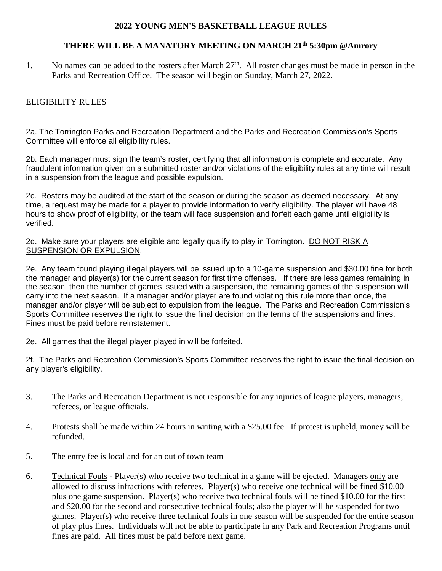## **2022 YOUNG MEN'S BASKETBALL LEAGUE RULES**

## **THERE WILL BE A MANATORY MEETING ON MARCH 21th 5:30pm @Amrory**

1. No names can be added to the rosters after March  $27<sup>th</sup>$ . All roster changes must be made in person in the Parks and Recreation Office. The season will begin on Sunday, March 27, 2022.

## ELIGIBILITY RULES

2a. The Torrington Parks and Recreation Department and the Parks and Recreation Commission's Sports Committee will enforce all eligibility rules.

2b. Each manager must sign the team's roster, certifying that all information is complete and accurate. Any fraudulent information given on a submitted roster and/or violations of the eligibility rules at any time will result in a suspension from the league and possible expulsion.

2c. Rosters may be audited at the start of the season or during the season as deemed necessary. At any time, a request may be made for a player to provide information to verify eligibility. The player will have 48 hours to show proof of eligibility, or the team will face suspension and forfeit each game until eligibility is verified.

2d. Make sure your players are eligible and legally qualify to play in Torrington. DO NOT RISK A SUSPENSION OR EXPULSION.

2e. Any team found playing illegal players will be issued up to a 10-game suspension and \$30.00 fine for both the manager and player(s) for the current season for first time offenses. If there are less games remaining in the season, then the number of games issued with a suspension, the remaining games of the suspension will carry into the next season. If a manager and/or player are found violating this rule more than once, the manager and/or player will be subject to expulsion from the league. The Parks and Recreation Commission's Sports Committee reserves the right to issue the final decision on the terms of the suspensions and fines. Fines must be paid before reinstatement.

2e. All games that the illegal player played in will be forfeited.

2f. The Parks and Recreation Commission's Sports Committee reserves the right to issue the final decision on any player's eligibility.

- 3. The Parks and Recreation Department is not responsible for any injuries of league players, managers, referees, or league officials.
- 4. Protests shall be made within 24 hours in writing with a \$25.00 fee. If protest is upheld, money will be refunded.
- 5. The entry fee is local and for an out of town team
- 6. Technical Fouls Player(s) who receive two technical in a game will be ejected. Managers only are allowed to discuss infractions with referees. Player(s) who receive one technical will be fined \$10.00 plus one game suspension. Player(s) who receive two technical fouls will be fined \$10.00 for the first and \$20.00 for the second and consecutive technical fouls; also the player will be suspended for two games. Player(s) who receive three technical fouls in one season will be suspended for the entire season of play plus fines. Individuals will not be able to participate in any Park and Recreation Programs until fines are paid. All fines must be paid before next game.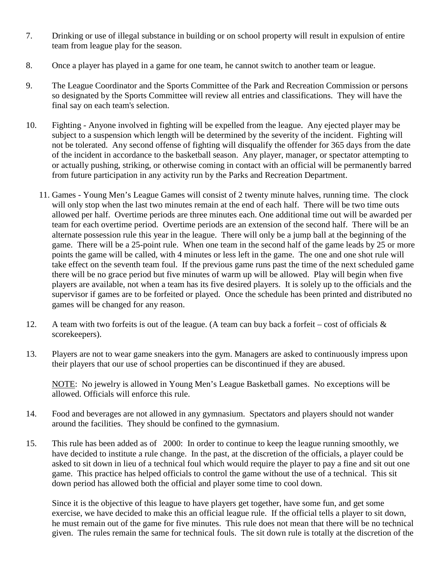- 7. Drinking or use of illegal substance in building or on school property will result in expulsion of entire team from league play for the season.
- 8. Once a player has played in a game for one team, he cannot switch to another team or league.
- 9. The League Coordinator and the Sports Committee of the Park and Recreation Commission or persons so designated by the Sports Committee will review all entries and classifications. They will have the final say on each team's selection.
- 10. Fighting Anyone involved in fighting will be expelled from the league. Any ejected player may be subject to a suspension which length will be determined by the severity of the incident. Fighting will not be tolerated. Any second offense of fighting will disqualify the offender for 365 days from the date of the incident in accordance to the basketball season. Any player, manager, or spectator attempting to or actually pushing, striking, or otherwise coming in contact with an official will be permanently barred from future participation in any activity run by the Parks and Recreation Department.
	- 11. Games Young Men's League Games will consist of 2 twenty minute halves, running time. The clock will only stop when the last two minutes remain at the end of each half. There will be two time outs allowed per half. Overtime periods are three minutes each. One additional time out will be awarded per team for each overtime period. Overtime periods are an extension of the second half. There will be an alternate possession rule this year in the league. There will only be a jump ball at the beginning of the game. There will be a 25-point rule. When one team in the second half of the game leads by 25 or more points the game will be called, with 4 minutes or less left in the game. The one and one shot rule will take effect on the seventh team foul. If the previous game runs past the time of the next scheduled game there will be no grace period but five minutes of warm up will be allowed. Play will begin when five players are available, not when a team has its five desired players. It is solely up to the officials and the supervisor if games are to be forfeited or played. Once the schedule has been printed and distributed no games will be changed for any reason.
- 12. A team with two forfeits is out of the league. (A team can buy back a forfeit cost of officials  $\&$ scorekeepers).
- 13. Players are not to wear game sneakers into the gym. Managers are asked to continuously impress upon their players that our use of school properties can be discontinued if they are abused.

NOTE: No jewelry is allowed in Young Men's League Basketball games. No exceptions will be allowed. Officials will enforce this rule.

- 14. Food and beverages are not allowed in any gymnasium. Spectators and players should not wander around the facilities. They should be confined to the gymnasium.
- 15. This rule has been added as of 2000: In order to continue to keep the league running smoothly, we have decided to institute a rule change. In the past, at the discretion of the officials, a player could be asked to sit down in lieu of a technical foul which would require the player to pay a fine and sit out one game. This practice has helped officials to control the game without the use of a technical. This sit down period has allowed both the official and player some time to cool down.

Since it is the objective of this league to have players get together, have some fun, and get some exercise, we have decided to make this an official league rule. If the official tells a player to sit down, he must remain out of the game for five minutes. This rule does not mean that there will be no technical given. The rules remain the same for technical fouls. The sit down rule is totally at the discretion of the